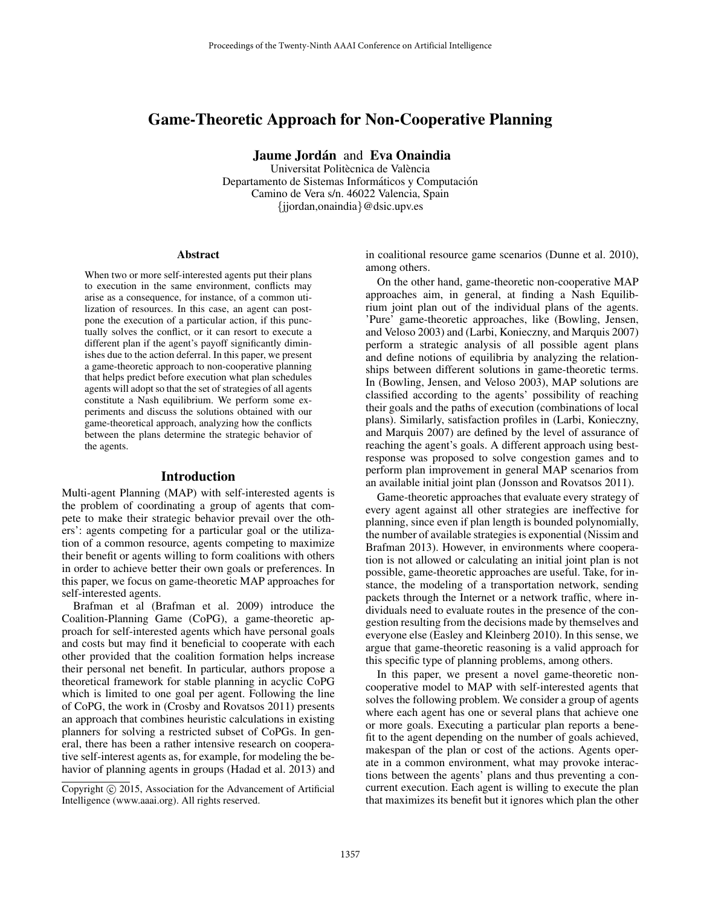# Game-Theoretic Approach for Non-Cooperative Planning

Jaume Jordán and Eva Onaindia

Universitat Politècnica de València Departamento de Sistemas Informáticos y Computación Camino de Vera s/n. 46022 Valencia, Spain {jjordan,onaindia}@dsic.upv.es

#### Abstract

When two or more self-interested agents put their plans to execution in the same environment, conflicts may arise as a consequence, for instance, of a common utilization of resources. In this case, an agent can postpone the execution of a particular action, if this punctually solves the conflict, or it can resort to execute a different plan if the agent's payoff significantly diminishes due to the action deferral. In this paper, we present a game-theoretic approach to non-cooperative planning that helps predict before execution what plan schedules agents will adopt so that the set of strategies of all agents constitute a Nash equilibrium. We perform some experiments and discuss the solutions obtained with our game-theoretical approach, analyzing how the conflicts between the plans determine the strategic behavior of the agents.

#### Introduction

Multi-agent Planning (MAP) with self-interested agents is the problem of coordinating a group of agents that compete to make their strategic behavior prevail over the others': agents competing for a particular goal or the utilization of a common resource, agents competing to maximize their benefit or agents willing to form coalitions with others in order to achieve better their own goals or preferences. In this paper, we focus on game-theoretic MAP approaches for self-interested agents.

Brafman et al (Brafman et al. 2009) introduce the Coalition-Planning Game (CoPG), a game-theoretic approach for self-interested agents which have personal goals and costs but may find it beneficial to cooperate with each other provided that the coalition formation helps increase their personal net benefit. In particular, authors propose a theoretical framework for stable planning in acyclic CoPG which is limited to one goal per agent. Following the line of CoPG, the work in (Crosby and Rovatsos 2011) presents an approach that combines heuristic calculations in existing planners for solving a restricted subset of CoPGs. In general, there has been a rather intensive research on cooperative self-interest agents as, for example, for modeling the behavior of planning agents in groups (Hadad et al. 2013) and in coalitional resource game scenarios (Dunne et al. 2010), among others.

On the other hand, game-theoretic non-cooperative MAP approaches aim, in general, at finding a Nash Equilibrium joint plan out of the individual plans of the agents. 'Pure' game-theoretic approaches, like (Bowling, Jensen, and Veloso 2003) and (Larbi, Konieczny, and Marquis 2007) perform a strategic analysis of all possible agent plans and define notions of equilibria by analyzing the relationships between different solutions in game-theoretic terms. In (Bowling, Jensen, and Veloso 2003), MAP solutions are classified according to the agents' possibility of reaching their goals and the paths of execution (combinations of local plans). Similarly, satisfaction profiles in (Larbi, Konieczny, and Marquis 2007) are defined by the level of assurance of reaching the agent's goals. A different approach using bestresponse was proposed to solve congestion games and to perform plan improvement in general MAP scenarios from an available initial joint plan (Jonsson and Rovatsos 2011).

Game-theoretic approaches that evaluate every strategy of every agent against all other strategies are ineffective for planning, since even if plan length is bounded polynomially, the number of available strategies is exponential (Nissim and Brafman 2013). However, in environments where cooperation is not allowed or calculating an initial joint plan is not possible, game-theoretic approaches are useful. Take, for instance, the modeling of a transportation network, sending packets through the Internet or a network traffic, where individuals need to evaluate routes in the presence of the congestion resulting from the decisions made by themselves and everyone else (Easley and Kleinberg 2010). In this sense, we argue that game-theoretic reasoning is a valid approach for this specific type of planning problems, among others.

In this paper, we present a novel game-theoretic noncooperative model to MAP with self-interested agents that solves the following problem. We consider a group of agents where each agent has one or several plans that achieve one or more goals. Executing a particular plan reports a benefit to the agent depending on the number of goals achieved, makespan of the plan or cost of the actions. Agents operate in a common environment, what may provoke interactions between the agents' plans and thus preventing a concurrent execution. Each agent is willing to execute the plan that maximizes its benefit but it ignores which plan the other

Copyright © 2015, Association for the Advancement of Artificial Intelligence (www.aaai.org). All rights reserved.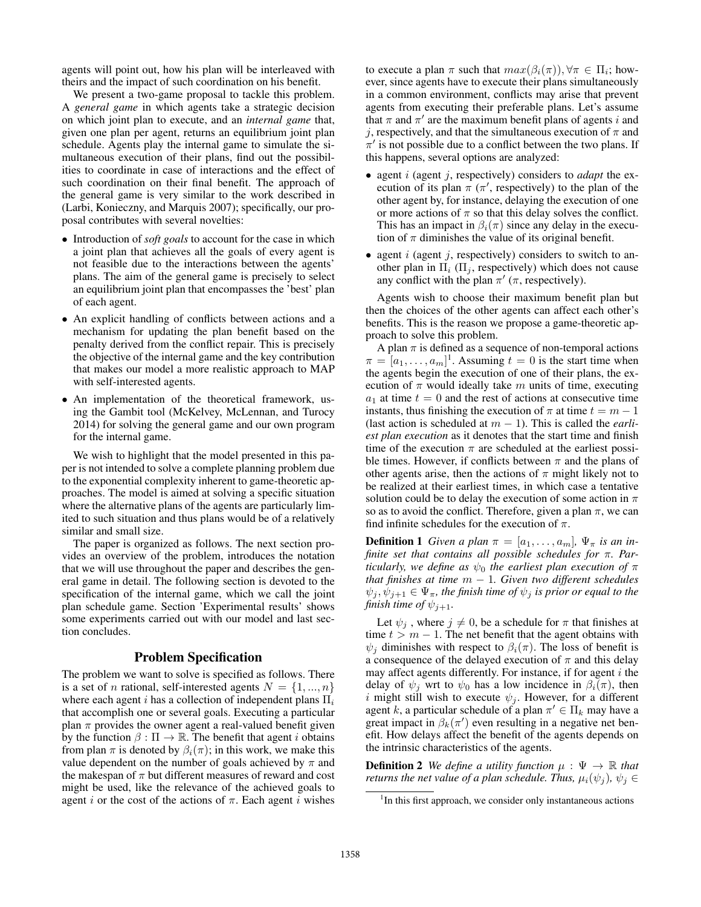agents will point out, how his plan will be interleaved with theirs and the impact of such coordination on his benefit.

We present a two-game proposal to tackle this problem. A *general game* in which agents take a strategic decision on which joint plan to execute, and an *internal game* that, given one plan per agent, returns an equilibrium joint plan schedule. Agents play the internal game to simulate the simultaneous execution of their plans, find out the possibilities to coordinate in case of interactions and the effect of such coordination on their final benefit. The approach of the general game is very similar to the work described in (Larbi, Konieczny, and Marquis 2007); specifically, our proposal contributes with several novelties:

- Introduction of *soft goals* to account for the case in which a joint plan that achieves all the goals of every agent is not feasible due to the interactions between the agents' plans. The aim of the general game is precisely to select an equilibrium joint plan that encompasses the 'best' plan of each agent.
- An explicit handling of conflicts between actions and a mechanism for updating the plan benefit based on the penalty derived from the conflict repair. This is precisely the objective of the internal game and the key contribution that makes our model a more realistic approach to MAP with self-interested agents.
- An implementation of the theoretical framework, using the Gambit tool (McKelvey, McLennan, and Turocy 2014) for solving the general game and our own program for the internal game.

We wish to highlight that the model presented in this paper is not intended to solve a complete planning problem due to the exponential complexity inherent to game-theoretic approaches. The model is aimed at solving a specific situation where the alternative plans of the agents are particularly limited to such situation and thus plans would be of a relatively similar and small size.

The paper is organized as follows. The next section provides an overview of the problem, introduces the notation that we will use throughout the paper and describes the general game in detail. The following section is devoted to the specification of the internal game, which we call the joint plan schedule game. Section 'Experimental results' shows some experiments carried out with our model and last section concludes.

## Problem Specification

The problem we want to solve is specified as follows. There is a set of *n* rational, self-interested agents  $N = \{1, ..., n\}$ where each agent i has a collection of independent plans  $\Pi_i$ that accomplish one or several goals. Executing a particular plan  $\pi$  provides the owner agent a real-valued benefit given by the function  $\beta : \Pi \to \mathbb{R}$ . The benefit that agent *i* obtains from plan  $\pi$  is denoted by  $\beta_i(\pi)$ ; in this work, we make this value dependent on the number of goals achieved by  $\pi$  and the makespan of  $\pi$  but different measures of reward and cost might be used, like the relevance of the achieved goals to agent i or the cost of the actions of  $\pi$ . Each agent i wishes

to execute a plan  $\pi$  such that  $max(\beta_i(\pi))$ ,  $\forall \pi \in \Pi_i$ ; however, since agents have to execute their plans simultaneously in a common environment, conflicts may arise that prevent agents from executing their preferable plans. Let's assume that  $\pi$  and  $\pi'$  are the maximum benefit plans of agents i and j, respectively, and that the simultaneous execution of  $\pi$  and  $\pi'$  is not possible due to a conflict between the two plans. If this happens, several options are analyzed:

- agent i (agent j, respectively) considers to *adapt* the execution of its plan  $\pi$  ( $\pi'$ , respectively) to the plan of the other agent by, for instance, delaying the execution of one or more actions of  $\pi$  so that this delay solves the conflict. This has an impact in  $\beta_i(\pi)$  since any delay in the execution of  $\pi$  diminishes the value of its original benefit.
- agent  $i$  (agent  $j$ , respectively) considers to switch to another plan in  $\Pi_i$  ( $\Pi_j$ , respectively) which does not cause any conflict with the plan  $\pi'$  ( $\pi$ , respectively).

Agents wish to choose their maximum benefit plan but then the choices of the other agents can affect each other's benefits. This is the reason we propose a game-theoretic approach to solve this problem.

A plan  $\pi$  is defined as a sequence of non-temporal actions  $\pi = [a_1, \dots, a_m]^T$ . Assuming  $t = 0$  is the start time when the agents begin the execution of one of their plans, the execution of  $\pi$  would ideally take m units of time, executing  $a_1$  at time  $t = 0$  and the rest of actions at consecutive time instants, thus finishing the execution of  $\pi$  at time  $t = m - 1$ (last action is scheduled at m − 1). This is called the *earliest plan execution* as it denotes that the start time and finish time of the execution  $\pi$  are scheduled at the earliest possible times. However, if conflicts between  $\pi$  and the plans of other agents arise, then the actions of  $\pi$  might likely not to be realized at their earliest times, in which case a tentative solution could be to delay the execution of some action in  $\pi$ so as to avoid the conflict. Therefore, given a plan  $\pi$ , we can find infinite schedules for the execution of  $\pi$ .

**Definition 1** *Given a plan*  $\pi = [a_1, \ldots, a_m], \Psi_{\pi}$  *is an infinite set that contains all possible schedules for* π*. Particularly, we define as*  $\psi_0$  *the earliest plan execution of*  $\pi$ *that finishes at time* m − 1*. Given two different schedules*  $\psi_i, \psi_{i+1} \in \Psi_\pi$ , the finish time of  $\psi_i$  is prior or equal to the *finish time of*  $\psi_{j+1}$ *.* 

Let  $\psi_i$ , where  $j \neq 0$ , be a schedule for  $\pi$  that finishes at time  $t > m - 1$ . The net benefit that the agent obtains with  $\psi_i$  diminishes with respect to  $\beta_i(\pi)$ . The loss of benefit is a consequence of the delayed execution of  $\pi$  and this delay may affect agents differently. For instance, if for agent  $i$  the delay of  $\psi_i$  wrt to  $\psi_0$  has a low incidence in  $\beta_i(\pi)$ , then i might still wish to execute  $\psi_i$ . However, for a different agent k, a particular schedule of a plan  $\pi' \in \Pi_k$  may have a great impact in  $\beta_k(\pi')$  even resulting in a negative net benefit. How delays affect the benefit of the agents depends on the intrinsic characteristics of the agents.

**Definition 2** *We define a utility function*  $\mu : \Psi \to \mathbb{R}$  *that returns the net value of a plan schedule. Thus,*  $\mu_i(\psi_i)$ ,  $\psi_i \in$ 

<sup>&</sup>lt;sup>1</sup>In this first approach, we consider only instantaneous actions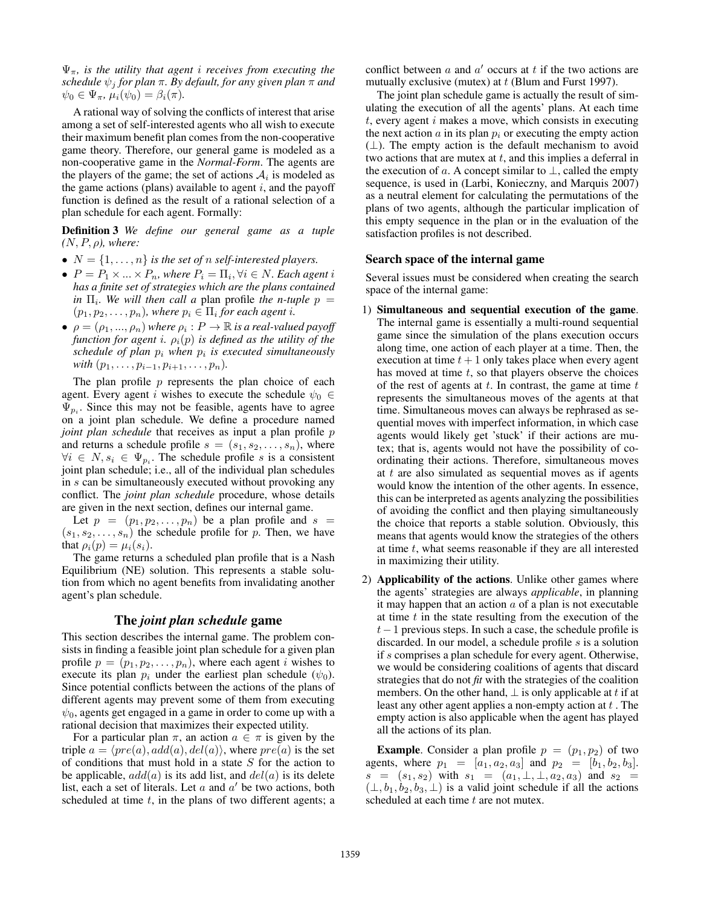Ψπ*, is the utility that agent* i *receives from executing the schedule*  $\psi_i$  *for plan*  $\pi$ *. By default, for any given plan*  $\pi$  *and*  $\psi_0 \in \Psi_\pi$ ,  $\mu_i(\psi_0) = \beta_i(\pi)$ .

A rational way of solving the conflicts of interest that arise among a set of self-interested agents who all wish to execute their maximum benefit plan comes from the non-cooperative game theory. Therefore, our general game is modeled as a non-cooperative game in the *Normal-Form*. The agents are the players of the game; the set of actions  $A_i$  is modeled as the game actions (plans) available to agent  $i$ , and the payoff function is defined as the result of a rational selection of a plan schedule for each agent. Formally:

Definition 3 *We define our general game as a tuple*  $(N, P, \rho)$ *, where:* 

- $N = \{1, \ldots, n\}$  *is the set of n self-interested players.*
- $\bullet$   $P = P_1 \times ... \times P_n$ , where  $P_i = \Pi_i, \forall i \in N$ . Each agent i *has a finite set of strategies which are the plans contained in*  $\Pi_i$ . We will then call a plan profile the *n*-tuple  $p =$  $(p_1, p_2, \ldots, p_n)$ , where  $p_i \in \Pi_i$  for each agent *i*.
- $\bullet \ \rho = (\rho_1, ..., \rho_n)$  where  $\rho_i : P \to \mathbb{R}$  is a real-valued payoff *function for agent i.*  $\rho_i(p)$  *is defined as the utility of the schedule of plan* p<sup>i</sup> *when* p<sup>i</sup> *is executed simultaneously with*  $(p_1, \ldots, p_{i-1}, p_{i+1}, \ldots, p_n)$ *.*

The plan profile  $p$  represents the plan choice of each agent. Every agent i wishes to execute the schedule  $\psi_0 \in$  $\Psi_{p_i}$ . Since this may not be feasible, agents have to agree on a joint plan schedule. We define a procedure named *joint plan schedule* that receives as input a plan profile p and returns a schedule profile  $s = (s_1, s_2, \ldots, s_n)$ , where  $\forall i \in N, s_i \in \Psi_{p_i}$ . The schedule profile s is a consistent joint plan schedule; i.e., all of the individual plan schedules in s can be simultaneously executed without provoking any conflict. The *joint plan schedule* procedure, whose details are given in the next section, defines our internal game.

Let  $p = (p_1, p_2, \ldots, p_n)$  be a plan profile and  $s =$  $(s_1, s_2, \ldots, s_n)$  the schedule profile for p. Then, we have that  $\rho_i(p) = \mu_i(s_i)$ .

The game returns a scheduled plan profile that is a Nash Equilibrium (NE) solution. This represents a stable solution from which no agent benefits from invalidating another agent's plan schedule.

# The *joint plan schedule* game

This section describes the internal game. The problem consists in finding a feasible joint plan schedule for a given plan profile  $p = (p_1, p_2, \dots, p_n)$ , where each agent *i* wishes to execute its plan  $p_i$  under the earliest plan schedule ( $\psi_0$ ). Since potential conflicts between the actions of the plans of different agents may prevent some of them from executing  $\psi_0$ , agents get engaged in a game in order to come up with a rational decision that maximizes their expected utility.

For a particular plan  $\pi$ , an action  $a \in \pi$  is given by the triple  $a = \langle pre(a), add(a), del(a) \rangle$ , where  $pre(a)$  is the set of conditions that must hold in a state  $S$  for the action to be applicable,  $add(a)$  is its add list, and  $del(a)$  is its delete list, each a set of literals. Let  $a$  and  $a'$  be two actions, both scheduled at time  $t$ , in the plans of two different agents; a

conflict between  $a$  and  $a'$  occurs at  $t$  if the two actions are mutually exclusive (mutex) at  $t$  (Blum and Furst 1997).

The joint plan schedule game is actually the result of simulating the execution of all the agents' plans. At each time  $t$ , every agent  $i$  makes a move, which consists in executing the next action  $a$  in its plan  $p_i$  or executing the empty action  $(\perp)$ . The empty action is the default mechanism to avoid two actions that are mutex at  $t$ , and this implies a deferral in the execution of a. A concept similar to  $\bot$ , called the empty sequence, is used in (Larbi, Konieczny, and Marquis 2007) as a neutral element for calculating the permutations of the plans of two agents, although the particular implication of this empty sequence in the plan or in the evaluation of the satisfaction profiles is not described.

## Search space of the internal game

Several issues must be considered when creating the search space of the internal game:

- 1) Simultaneous and sequential execution of the game. The internal game is essentially a multi-round sequential game since the simulation of the plans execution occurs along time, one action of each player at a time. Then, the execution at time  $t + 1$  only takes place when every agent has moved at time  $t$ , so that players observe the choices of the rest of agents at  $t$ . In contrast, the game at time  $t$ represents the simultaneous moves of the agents at that time. Simultaneous moves can always be rephrased as sequential moves with imperfect information, in which case agents would likely get 'stuck' if their actions are mutex; that is, agents would not have the possibility of coordinating their actions. Therefore, simultaneous moves at t are also simulated as sequential moves as if agents would know the intention of the other agents. In essence, this can be interpreted as agents analyzing the possibilities of avoiding the conflict and then playing simultaneously the choice that reports a stable solution. Obviously, this means that agents would know the strategies of the others at time  $t$ , what seems reasonable if they are all interested in maximizing their utility.
- 2) Applicability of the actions. Unlike other games where the agents' strategies are always *applicable*, in planning it may happen that an action  $a$  of a plan is not executable at time  $t$  in the state resulting from the execution of the t−1 previous steps. In such a case, the schedule profile is discarded. In our model, a schedule profile  $s$  is a solution if s comprises a plan schedule for every agent. Otherwise, we would be considering coalitions of agents that discard strategies that do not *fit* with the strategies of the coalition members. On the other hand,  $\perp$  is only applicable at t if at least any other agent applies a non-empty action at  $t$ . The empty action is also applicable when the agent has played all the actions of its plan.

**Example.** Consider a plan profile  $p = (p_1, p_2)$  of two agents, where  $p_1 = [a_1, a_2, a_3]$  and  $p_2 = [b_1, b_2, b_3]$ .  $s = (s_1, s_2)$  with  $s_1 = (a_1, \perp, \perp, a_2, a_3)$  and  $s_2 =$  $(\perp, b_1, b_2, b_3, \perp)$  is a valid joint schedule if all the actions scheduled at each time t are not mutex.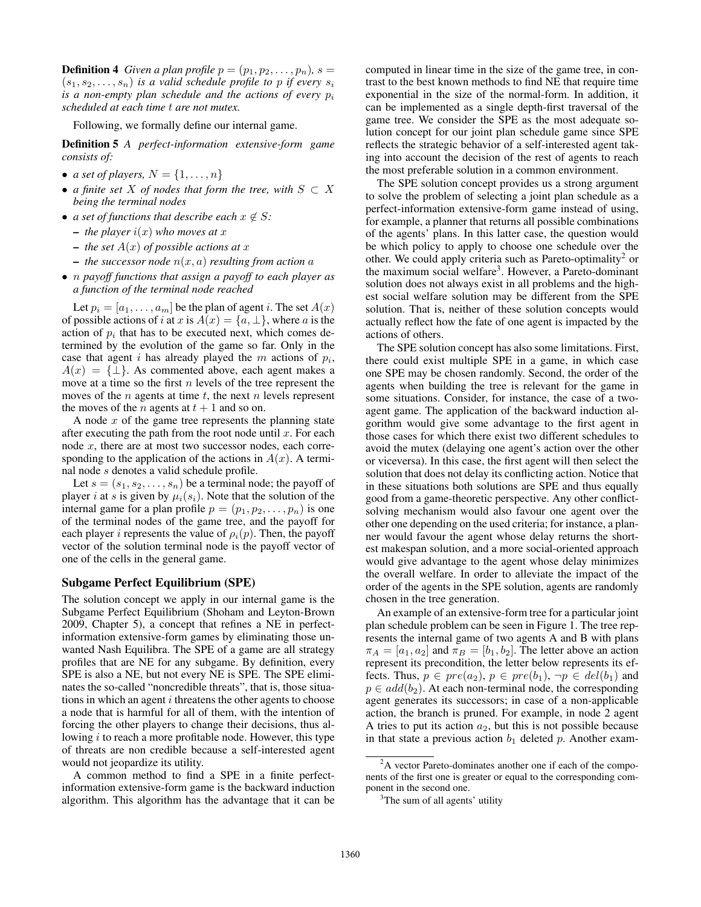**Definition 4** *Given a plan profile*  $p = (p_1, p_2, \ldots, p_n)$ *, s =*  $(s_1, s_2, \ldots, s_n)$  *is a valid schedule profile to p if every*  $s_i$ *is a non-empty plan schedule and the actions of every*  $p_i$ *scheduled at each time* t *are not mutex.*

Following, we formally define our internal game.

Definition 5 *A perfect-information extensive-form game consists of:*

- *a set of players,*  $N = \{1, \ldots, n\}$
- *a finite set* X *of nodes that form the tree, with* S ⊂ X *being the terminal nodes*
- *a set of functions that describe each*  $x \notin S$ :
	- $-$  *the player*  $i(x)$  *who moves at*  $x$
	- $-$  *the set*  $A(x)$  *of possible actions at* x
	- $-$  *the successor node*  $n(x, a)$  *resulting from action* a
- n *payoff functions that assign a payoff to each player as a function of the terminal node reached*

Let  $p_i = [a_1, \ldots, a_m]$  be the plan of agent i. The set  $A(x)$ of possible actions of i at x is  $A(x) = \{a, \perp\}$ , where a is the action of  $p_i$  that has to be executed next, which comes determined by the evolution of the game so far. Only in the case that agent i has already played the  $m$  actions of  $p_i$ ,  $A(x) = {\perp}$ . As commented above, each agent makes a move at a time so the first  $n$  levels of the tree represent the moves of the *n* agents at time  $t$ , the next *n* levels represent the moves of the *n* agents at  $t + 1$  and so on.

A node  $x$  of the game tree represents the planning state after executing the path from the root node until  $x$ . For each node  $x$ , there are at most two successor nodes, each corresponding to the application of the actions in  $A(x)$ . A terminal node s denotes a valid schedule profile.

Let  $s = (s_1, s_2, \ldots, s_n)$  be a terminal node; the payoff of player i at s is given by  $\mu_i(s_i)$ . Note that the solution of the internal game for a plan profile  $p = (p_1, p_2, \dots, p_n)$  is one of the terminal nodes of the game tree, and the payoff for each player *i* represents the value of  $\rho_i(p)$ . Then, the payoff vector of the solution terminal node is the payoff vector of one of the cells in the general game.

### Subgame Perfect Equilibrium (SPE)

The solution concept we apply in our internal game is the Subgame Perfect Equilibrium (Shoham and Leyton-Brown 2009, Chapter 5), a concept that refines a NE in perfectinformation extensive-form games by eliminating those unwanted Nash Equilibra. The SPE of a game are all strategy profiles that are NE for any subgame. By definition, every SPE is also a NE, but not every NE is SPE. The SPE eliminates the so-called "noncredible threats", that is, those situations in which an agent  $i$  threatens the other agents to choose a node that is harmful for all of them, with the intention of forcing the other players to change their decisions, thus allowing  $i$  to reach a more profitable node. However, this type of threats are non credible because a self-interested agent would not jeopardize its utility.

A common method to find a SPE in a finite perfectinformation extensive-form game is the backward induction algorithm. This algorithm has the advantage that it can be

computed in linear time in the size of the game tree, in contrast to the best known methods to find NE that require time exponential in the size of the normal-form. In addition, it can be implemented as a single depth-first traversal of the game tree. We consider the SPE as the most adequate solution concept for our joint plan schedule game since SPE reflects the strategic behavior of a self-interested agent taking into account the decision of the rest of agents to reach the most preferable solution in a common environment.

The SPE solution concept provides us a strong argument to solve the problem of selecting a joint plan schedule as a perfect-information extensive-form game instead of using, for example, a planner that returns all possible combinations of the agents' plans. In this latter case, the question would be which policy to apply to choose one schedule over the other. We could apply criteria such as Pareto-optimality<sup>2</sup> or the maximum social welfare<sup>3</sup>. However, a Pareto-dominant solution does not always exist in all problems and the highest social welfare solution may be different from the SPE solution. That is, neither of these solution concepts would actually reflect how the fate of one agent is impacted by the actions of others.

The SPE solution concept has also some limitations. First, there could exist multiple SPE in a game, in which case one SPE may be chosen randomly. Second, the order of the agents when building the tree is relevant for the game in some situations. Consider, for instance, the case of a twoagent game. The application of the backward induction algorithm would give some advantage to the first agent in those cases for which there exist two different schedules to avoid the mutex (delaying one agent's action over the other or viceversa). In this case, the first agent will then select the solution that does not delay its conflicting action. Notice that in these situations both solutions are SPE and thus equally good from a game-theoretic perspective. Any other conflictsolving mechanism would also favour one agent over the other one depending on the used criteria; for instance, a planner would favour the agent whose delay returns the shortest makespan solution, and a more social-oriented approach would give advantage to the agent whose delay minimizes the overall welfare. In order to alleviate the impact of the order of the agents in the SPE solution, agents are randomly chosen in the tree generation.

An example of an extensive-form tree for a particular joint plan schedule problem can be seen in Figure 1. The tree represents the internal game of two agents A and B with plans  $\pi_A = [a_1, a_2]$  and  $\pi_B = [b_1, b_2]$ . The letter above an action represent its precondition, the letter below represents its effects. Thus,  $p \in pre(a_2)$ ,  $p \in pre(b_1)$ ,  $\neg p \in del(b_1)$  and  $p \in add(b_2)$ . At each non-terminal node, the corresponding agent generates its successors; in case of a non-applicable action, the branch is pruned. For example, in node 2 agent A tries to put its action  $a_2$ , but this is not possible because in that state a previous action  $b_1$  deleted p. Another exam-

<sup>&</sup>lt;sup>2</sup>A vector Pareto-dominates another one if each of the components of the first one is greater or equal to the corresponding component in the second one.

<sup>&</sup>lt;sup>3</sup>The sum of all agents' utility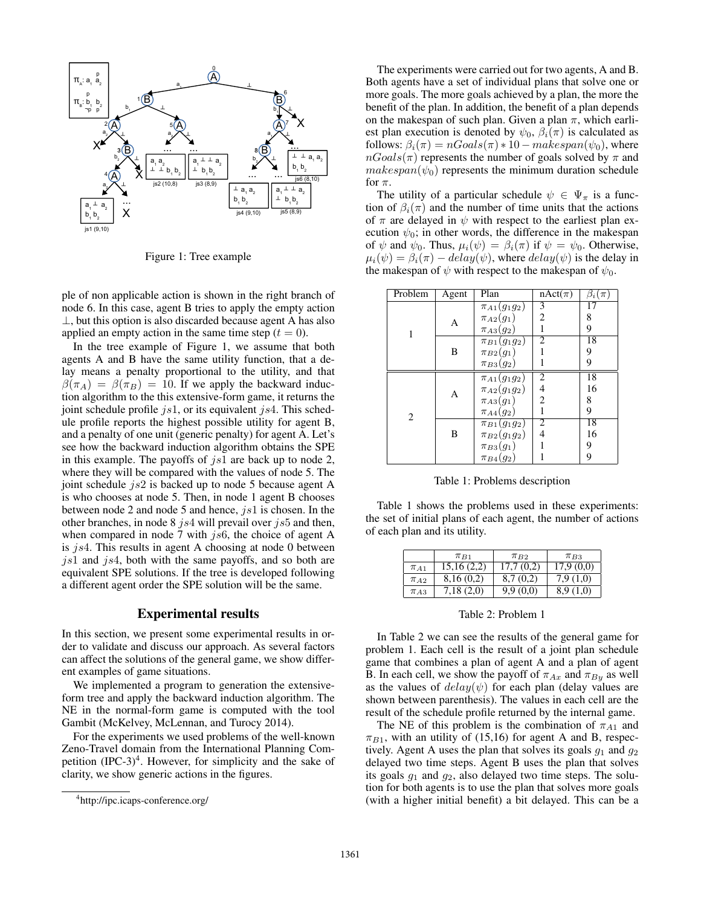

Figure 1: Tree example

ple of non applicable action is shown in the right branch of node 6. In this case, agent B tries to apply the empty action ⊥, but this option is also discarded because agent A has also applied an empty action in the same time step  $(t = 0)$ .

In the tree example of Figure 1, we assume that both agents A and B have the same utility function, that a delay means a penalty proportional to the utility, and that  $\beta(\pi_A) = \beta(\pi_B) = 10$ . If we apply the backward induction algorithm to the this extensive-form game, it returns the joint schedule profile  $js1$ , or its equivalent  $js4$ . This schedule profile reports the highest possible utility for agent B, and a penalty of one unit (generic penalty) for agent A. Let's see how the backward induction algorithm obtains the SPE in this example. The payoffs of  $js1$  are back up to node 2, where they will be compared with the values of node 5. The joint schedule  $js2$  is backed up to node 5 because agent A is who chooses at node 5. Then, in node 1 agent B chooses between node 2 and node 5 and hence,  $js1$  is chosen. In the other branches, in node 8 js4 will prevail over js5 and then, when compared in node 7 with  $j<sub>s</sub>6$ , the choice of agent A is js4. This results in agent A choosing at node 0 between  $j<sub>s1</sub>$  and  $j<sub>s4</sub>$ , both with the same payoffs, and so both are equivalent SPE solutions. If the tree is developed following a different agent order the SPE solution will be the same.

## Experimental results

In this section, we present some experimental results in order to validate and discuss our approach. As several factors can affect the solutions of the general game, we show different examples of game situations.

We implemented a program to generation the extensiveform tree and apply the backward induction algorithm. The NE in the normal-form game is computed with the tool Gambit (McKelvey, McLennan, and Turocy 2014).

For the experiments we used problems of the well-known Zeno-Travel domain from the International Planning Competition  $(IPC-3)^4$ . However, for simplicity and the sake of clarity, we show generic actions in the figures.

The experiments were carried out for two agents, A and B. Both agents have a set of individual plans that solve one or more goals. The more goals achieved by a plan, the more the benefit of the plan. In addition, the benefit of a plan depends on the makespan of such plan. Given a plan  $\pi$ , which earliest plan execution is denoted by  $\psi_0$ ,  $\beta_i(\pi)$  is calculated as follows:  $\beta_i(\pi) = nGoals(\pi) * 10 - makespan(\psi_0)$ , where  $nGoals(\pi)$  represents the number of goals solved by  $\pi$  and  $makespan(\psi_0)$  represents the minimum duration schedule for  $\pi$ .

The utility of a particular schedule  $\psi \in \Psi_{\pi}$  is a function of  $\beta_i(\pi)$  and the number of time units that the actions of  $\pi$  are delayed in  $\psi$  with respect to the earliest plan execution  $\psi_0$ ; in other words, the difference in the makespan of  $\psi$  and  $\psi_0$ . Thus,  $\mu_i(\psi) = \beta_i(\pi)$  if  $\psi = \psi_0$ . Otherwise,  $\mu_i(\psi) = \beta_i(\pi) - delay(\psi)$ , where  $delay(\psi)$  is the delay in the makespan of  $\psi$  with respect to the makespan of  $\psi_0$ .

| Problem | Agent | Plan                          | $nAct(\pi)$              | $\beta_i(\pi)$ |
|---------|-------|-------------------------------|--------------------------|----------------|
|         |       | $\overline{\pi}_{A1}(g_1g_2)$ | 3                        | 17             |
|         | А     | $\pi_{A2}(g_1)$               | 2                        | 8              |
|         |       | $\pi_{A3}(g_2)$               | 1                        | 9              |
|         | B     | $\pi_{B1}(g_1g_2)$            | $\overline{2}$           | 18             |
|         |       | $\pi_{B2}(g_1)$               | 1                        | 9              |
|         |       | $\pi_{B3}(g_2)$               | 1                        | 9              |
| 2       |       | $\pi_{A1}(g_1g_2)$            | $\overline{2}$           | 18             |
|         | А     | $\pi_{A2}(g_1g_2)$            | $\overline{\mathcal{L}}$ | 16             |
|         |       | $\pi_{A3}(g_1)$               | $\overline{c}$           | 8              |
|         |       | $\pi_{A4}(g_2)$               | 1                        | 9              |
|         | B     | $\pi_{B1}(g_1g_2)$            | 2                        | 18             |
|         |       | $\pi_{B2}(g_1g_2)$            | $\overline{4}$           | 16             |
|         |       | $\pi_{B3}(g_1)$               | 1                        | 9              |
|         |       | $\pi_{B4}(g_2)$               |                          | 9              |

Table 1: Problems description

Table 1 shows the problems used in these experiments: the set of initial plans of each agent, the number of actions of each plan and its utility.

|            | $\pi_{B1}$ | $\pi_{B2}$ | $\pi_{B3}$ |
|------------|------------|------------|------------|
| $\pi_{A1}$ | 15,16(2,2) | 17,7(0,2)  | 17,9(0,0)  |
| $\pi_{A2}$ | 8,16(0,2)  | 8,7(0,2)   | 7.9(1,0)   |
| $\pi_{A3}$ | 7,18(2,0)  | 9.9(0.0)   | 8.9(1,0)   |

#### Table 2: Problem 1

In Table 2 we can see the results of the general game for problem 1. Each cell is the result of a joint plan schedule game that combines a plan of agent A and a plan of agent B. In each cell, we show the payoff of  $\pi_{Ax}$  and  $\pi_{By}$  as well as the values of  $delay(\psi)$  for each plan (delay values are shown between parenthesis). The values in each cell are the result of the schedule profile returned by the internal game.

The NE of this problem is the combination of  $\pi_{A1}$  and  $\pi_{B1}$ , with an utility of (15,16) for agent A and B, respectively. Agent A uses the plan that solves its goals  $g_1$  and  $g_2$ delayed two time steps. Agent B uses the plan that solves its goals  $g_1$  and  $g_2$ , also delayed two time steps. The solution for both agents is to use the plan that solves more goals (with a higher initial benefit) a bit delayed. This can be a

<sup>4</sup> http://ipc.icaps-conference.org/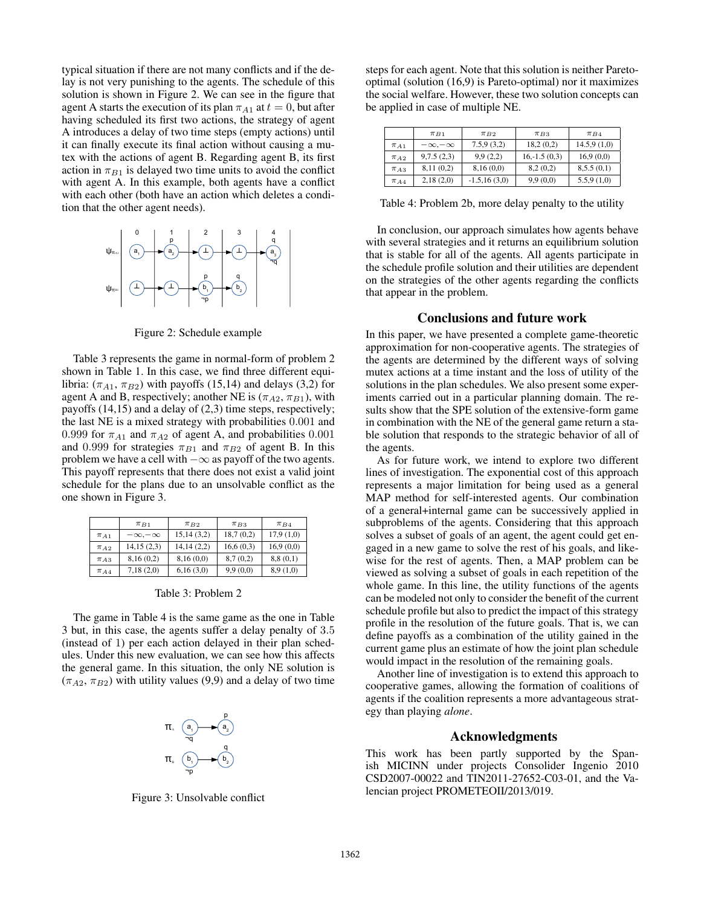typical situation if there are not many conflicts and if the delay is not very punishing to the agents. The schedule of this solution is shown in Figure 2. We can see in the figure that agent A starts the execution of its plan  $\pi_{A1}$  at  $t = 0$ , but after having scheduled its first two actions, the strategy of agent A introduces a delay of two time steps (empty actions) until it can finally execute its final action without causing a mutex with the actions of agent B. Regarding agent B, its first action in  $\pi_{B1}$  is delayed two time units to avoid the conflict with agent A. In this example, both agents have a conflict with each other (both have an action which deletes a condition that the other agent needs).



Figure 2: Schedule example

Table 3 represents the game in normal-form of problem 2 shown in Table 1. In this case, we find three different equilibria:  $(\pi_{A1}, \pi_{B2})$  with payoffs (15,14) and delays (3,2) for agent A and B, respectively; another NE is  $(\pi_{A2}, \pi_{B1})$ , with payoffs (14,15) and a delay of (2,3) time steps, respectively; the last NE is a mixed strategy with probabilities 0.001 and 0.999 for  $\pi_{A1}$  and  $\pi_{A2}$  of agent A, and probabilities 0.001 and 0.999 for strategies  $\pi_{B1}$  and  $\pi_{B2}$  of agent B. In this problem we have a cell with −∞ as payoff of the two agents. This payoff represents that there does not exist a valid joint schedule for the plans due to an unsolvable conflict as the one shown in Figure 3.

|            | $\pi_{B1}$         | $\pi_{B2}$ | $\pi_{B3}$ | $\pi_{B4}$ |
|------------|--------------------|------------|------------|------------|
| $\pi_{A1}$ | $-\infty, -\infty$ | 15,14(3,2) | 18,7(0,2)  | 17.9(1,0)  |
| $\pi_{A2}$ | 14,15(2,3)         | 14,14(2,2) | 16,6(0,3)  | 16,9(0,0)  |
| $\pi_{A3}$ | 8,16(0,2)          | 8,16(0,0)  | 8,7(0,2)   | 8,8(0,1)   |
| $\pi$ A 4  | 7,18(2,0)          | 6,16(3,0)  | 9.9(0.0)   | 8.9(1.0)   |

Table 3: Problem 2

The game in Table 4 is the same game as the one in Table 3 but, in this case, the agents suffer a delay penalty of 3.5 (instead of 1) per each action delayed in their plan schedules. Under this new evaluation, we can see how this affects the general game. In this situation, the only NE solution is  $(\pi_{A2}, \pi_{B2})$  with utility values (9,9) and a delay of two time



Figure 3: Unsolvable conflict

steps for each agent. Note that this solution is neither Paretooptimal (solution (16,9) is Pareto-optimal) nor it maximizes the social welfare. However, these two solution concepts can be applied in case of multiple NE.

|            | $\pi_{B1}$         | $\pi_{B2}$      | $\pi_{B3}$     | $\pi_{B4}$  |
|------------|--------------------|-----------------|----------------|-------------|
| $\pi_{A1}$ | $-\infty, -\infty$ | 7.5.9(3.2)      | 18,2(0,2)      | 14.5,9(1,0) |
| $\pi_{A2}$ | 9,7.5(2,3)         | 9.9(2,2)        | $16,-1.5(0,3)$ | 16.9(0.0)   |
| $\pi_{A3}$ | 8,11(0,2)          | 8,16(0,0)       | 8,2(0,2)       | 8,5.5(0,1)  |
| $\pi$ A 4  | 2,18(2,0)          | $-1.5, 16(3,0)$ | 9,9(0,0)       | 5.5.9(1.0)  |

Table 4: Problem 2b, more delay penalty to the utility

In conclusion, our approach simulates how agents behave with several strategies and it returns an equilibrium solution that is stable for all of the agents. All agents participate in the schedule profile solution and their utilities are dependent on the strategies of the other agents regarding the conflicts that appear in the problem.

## Conclusions and future work

In this paper, we have presented a complete game-theoretic approximation for non-cooperative agents. The strategies of the agents are determined by the different ways of solving mutex actions at a time instant and the loss of utility of the solutions in the plan schedules. We also present some experiments carried out in a particular planning domain. The results show that the SPE solution of the extensive-form game in combination with the NE of the general game return a stable solution that responds to the strategic behavior of all of the agents.

As for future work, we intend to explore two different lines of investigation. The exponential cost of this approach represents a major limitation for being used as a general MAP method for self-interested agents. Our combination of a general+internal game can be successively applied in subproblems of the agents. Considering that this approach solves a subset of goals of an agent, the agent could get engaged in a new game to solve the rest of his goals, and likewise for the rest of agents. Then, a MAP problem can be viewed as solving a subset of goals in each repetition of the whole game. In this line, the utility functions of the agents can be modeled not only to consider the benefit of the current schedule profile but also to predict the impact of this strategy profile in the resolution of the future goals. That is, we can define payoffs as a combination of the utility gained in the current game plus an estimate of how the joint plan schedule would impact in the resolution of the remaining goals.

Another line of investigation is to extend this approach to cooperative games, allowing the formation of coalitions of agents if the coalition represents a more advantageous strategy than playing *alone*.

# Acknowledgments

This work has been partly supported by the Spanish MICINN under projects Consolider Ingenio 2010 CSD2007-00022 and TIN2011-27652-C03-01, and the Valencian project PROMETEOII/2013/019.